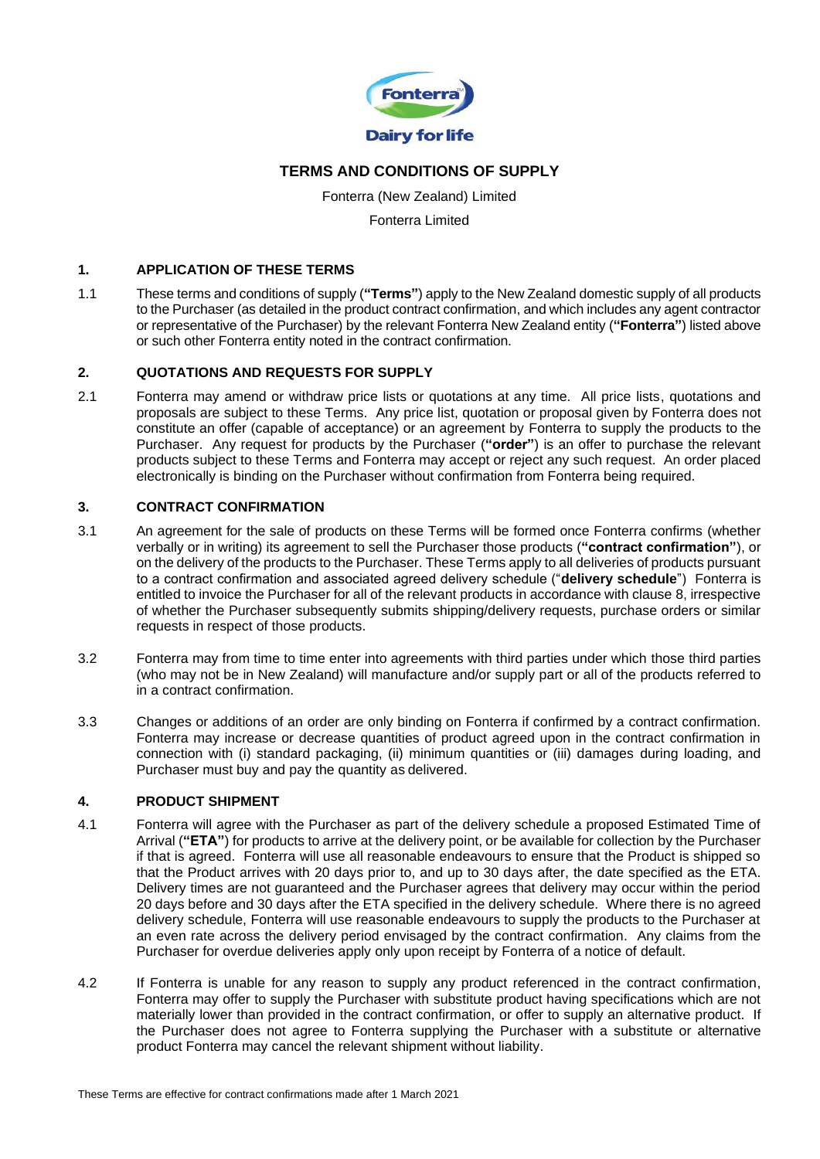

# **TERMS AND CONDITIONS OF SUPPLY**

Fonterra (New Zealand) Limited Fonterra Limited

#### **1. APPLICATION OF THESE TERMS**

1.1 These terms and conditions of supply (**"Terms"**) apply to the New Zealand domestic supply of all products to the Purchaser (as detailed in the product contract confirmation, and which includes any agent contractor or representative of the Purchaser) by the relevant Fonterra New Zealand entity (**"Fonterra"**) listed above or such other Fonterra entity noted in the contract confirmation.

#### **2. QUOTATIONS AND REQUESTS FOR SUPPLY**

2.1 Fonterra may amend or withdraw price lists or quotations at any time. All price lists, quotations and proposals are subject to these Terms. Any price list, quotation or proposal given by Fonterra does not constitute an offer (capable of acceptance) or an agreement by Fonterra to supply the products to the Purchaser. Any request for products by the Purchaser (**"order"**) is an offer to purchase the relevant products subject to these Terms and Fonterra may accept or reject any such request. An order placed electronically is binding on the Purchaser without confirmation from Fonterra being required.

# **3. CONTRACT CONFIRMATION**

- 3.1 An agreement for the sale of products on these Terms will be formed once Fonterra confirms (whether verbally or in writing) its agreement to sell the Purchaser those products (**"contract confirmation"**), or on the delivery of the products to the Purchaser. These Terms apply to all deliveries of products pursuant to a contract confirmation and associated agreed delivery schedule ("**delivery schedule**") Fonterra is entitled to invoice the Purchaser for all of the relevant products in accordance with clause 8, irrespective of whether the Purchaser subsequently submits shipping/delivery requests, purchase orders or similar requests in respect of those products.
- 3.2 Fonterra may from time to time enter into agreements with third parties under which those third parties (who may not be in New Zealand) will manufacture and/or supply part or all of the products referred to in a contract confirmation.
- 3.3 Changes or additions of an order are only binding on Fonterra if confirmed by a contract confirmation. Fonterra may increase or decrease quantities of product agreed upon in the contract confirmation in connection with (i) standard packaging, (ii) minimum quantities or (iii) damages during loading, and Purchaser must buy and pay the quantity as delivered.

#### **4. PRODUCT SHIPMENT**

- 4.1 Fonterra will agree with the Purchaser as part of the delivery schedule a proposed Estimated Time of Arrival (**"ETA"**) for products to arrive at the delivery point, or be available for collection by the Purchaser if that is agreed. Fonterra will use all reasonable endeavours to ensure that the Product is shipped so that the Product arrives with 20 days prior to, and up to 30 days after, the date specified as the ETA. Delivery times are not guaranteed and the Purchaser agrees that delivery may occur within the period 20 days before and 30 days after the ETA specified in the delivery schedule. Where there is no agreed delivery schedule, Fonterra will use reasonable endeavours to supply the products to the Purchaser at an even rate across the delivery period envisaged by the contract confirmation. Any claims from the Purchaser for overdue deliveries apply only upon receipt by Fonterra of a notice of default.
- 4.2 If Fonterra is unable for any reason to supply any product referenced in the contract confirmation, Fonterra may offer to supply the Purchaser with substitute product having specifications which are not materially lower than provided in the contract confirmation, or offer to supply an alternative product. If the Purchaser does not agree to Fonterra supplying the Purchaser with a substitute or alternative product Fonterra may cancel the relevant shipment without liability.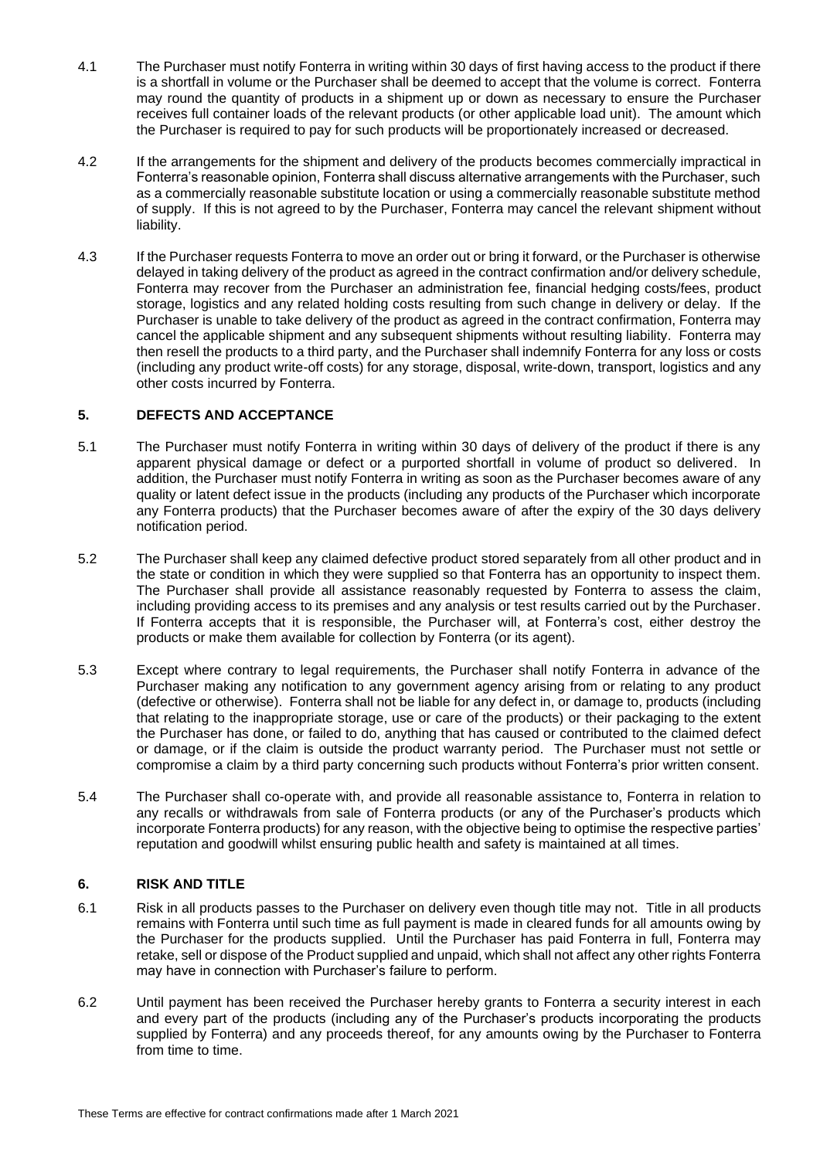- 4.1 The Purchaser must notify Fonterra in writing within 30 days of first having access to the product if there is a shortfall in volume or the Purchaser shall be deemed to accept that the volume is correct. Fonterra may round the quantity of products in a shipment up or down as necessary to ensure the Purchaser receives full container loads of the relevant products (or other applicable load unit). The amount which the Purchaser is required to pay for such products will be proportionately increased or decreased.
- If the arrangements for the shipment and delivery of the products becomes commercially impractical in Fonterra's reasonable opinion, Fonterra shall discuss alternative arrangements with the Purchaser, such as a commercially reasonable substitute location or using a commercially reasonable substitute method of supply. If this is not agreed to by the Purchaser, Fonterra may cancel the relevant shipment without liability.
- 4.3 If the Purchaser requests Fonterra to move an order out or bring it forward, or the Purchaser is otherwise delayed in taking delivery of the product as agreed in the contract confirmation and/or delivery schedule, Fonterra may recover from the Purchaser an administration fee, financial hedging costs/fees, product storage, logistics and any related holding costs resulting from such change in delivery or delay. If the Purchaser is unable to take delivery of the product as agreed in the contract confirmation, Fonterra may cancel the applicable shipment and any subsequent shipments without resulting liability. Fonterra may then resell the products to a third party, and the Purchaser shall indemnify Fonterra for any loss or costs (including any product write-off costs) for any storage, disposal, write-down, transport, logistics and any other costs incurred by Fonterra.

# **5. DEFECTS AND ACCEPTANCE**

- 5.1 The Purchaser must notify Fonterra in writing within 30 days of delivery of the product if there is any apparent physical damage or defect or a purported shortfall in volume of product so delivered. In addition, the Purchaser must notify Fonterra in writing as soon as the Purchaser becomes aware of any quality or latent defect issue in the products (including any products of the Purchaser which incorporate any Fonterra products) that the Purchaser becomes aware of after the expiry of the 30 days delivery notification period.
- 5.2 The Purchaser shall keep any claimed defective product stored separately from all other product and in the state or condition in which they were supplied so that Fonterra has an opportunity to inspect them. The Purchaser shall provide all assistance reasonably requested by Fonterra to assess the claim, including providing access to its premises and any analysis or test results carried out by the Purchaser. If Fonterra accepts that it is responsible, the Purchaser will, at Fonterra's cost, either destroy the products or make them available for collection by Fonterra (or its agent).
- 5.3 Except where contrary to legal requirements, the Purchaser shall notify Fonterra in advance of the Purchaser making any notification to any government agency arising from or relating to any product (defective or otherwise). Fonterra shall not be liable for any defect in, or damage to, products (including that relating to the inappropriate storage, use or care of the products) or their packaging to the extent the Purchaser has done, or failed to do, anything that has caused or contributed to the claimed defect or damage, or if the claim is outside the product warranty period. The Purchaser must not settle or compromise a claim by a third party concerning such products without Fonterra's prior written consent.
- 5.4 The Purchaser shall co-operate with, and provide all reasonable assistance to, Fonterra in relation to any recalls or withdrawals from sale of Fonterra products (or any of the Purchaser's products which incorporate Fonterra products) for any reason, with the objective being to optimise the respective parties' reputation and goodwill whilst ensuring public health and safety is maintained at all times.

# **6. RISK AND TITLE**

- 6.1 Risk in all products passes to the Purchaser on delivery even though title may not. Title in all products remains with Fonterra until such time as full payment is made in cleared funds for all amounts owing by the Purchaser for the products supplied. Until the Purchaser has paid Fonterra in full, Fonterra may retake, sell or dispose of the Product supplied and unpaid, which shall not affect any other rights Fonterra may have in connection with Purchaser's failure to perform.
- 6.2 Until payment has been received the Purchaser hereby grants to Fonterra a security interest in each and every part of the products (including any of the Purchaser's products incorporating the products supplied by Fonterra) and any proceeds thereof, for any amounts owing by the Purchaser to Fonterra from time to time.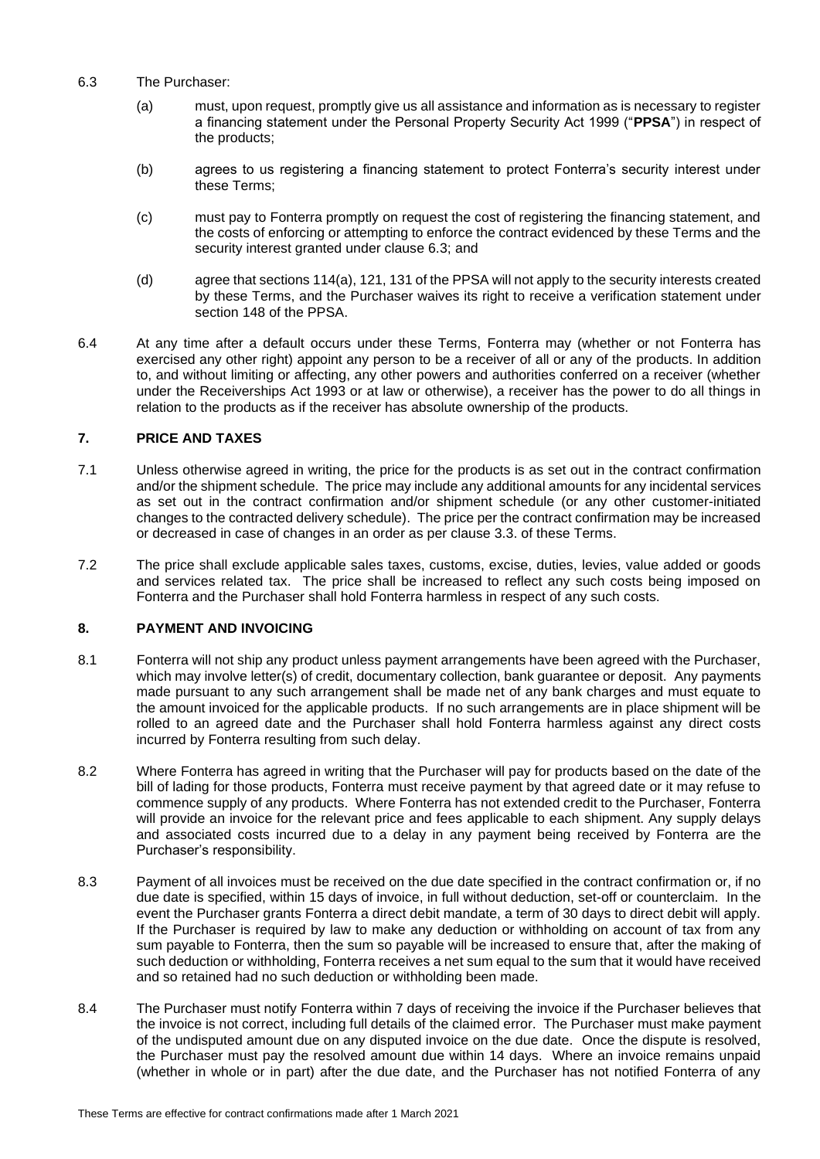- 6.3 The Purchaser:
	- (a) must, upon request, promptly give us all assistance and information as is necessary to register a financing statement under the Personal Property Security Act 1999 ("**PPSA**") in respect of the products;
	- (b) agrees to us registering a financing statement to protect Fonterra's security interest under these Terms;
	- (c) must pay to Fonterra promptly on request the cost of registering the financing statement, and the costs of enforcing or attempting to enforce the contract evidenced by these Terms and the security interest granted under clause 6.3; and
	- (d) agree that sections 114(a), 121, 131 of the PPSA will not apply to the security interests created by these Terms, and the Purchaser waives its right to receive a verification statement under section 148 of the PPSA.
- 6.4 At any time after a default occurs under these Terms, Fonterra may (whether or not Fonterra has exercised any other right) appoint any person to be a receiver of all or any of the products. In addition to, and without limiting or affecting, any other powers and authorities conferred on a receiver (whether under the Receiverships Act 1993 or at law or otherwise), a receiver has the power to do all things in relation to the products as if the receiver has absolute ownership of the products.

# **7. PRICE AND TAXES**

- 7.1 Unless otherwise agreed in writing, the price for the products is as set out in the contract confirmation and/or the shipment schedule. The price may include any additional amounts for any incidental services as set out in the contract confirmation and/or shipment schedule (or any other customer-initiated changes to the contracted delivery schedule). The price per the contract confirmation may be increased or decreased in case of changes in an order as per clause 3.3. of these Terms.
- 7.2 The price shall exclude applicable sales taxes, customs, excise, duties, levies, value added or goods and services related tax. The price shall be increased to reflect any such costs being imposed on Fonterra and the Purchaser shall hold Fonterra harmless in respect of any such costs.

# **8. PAYMENT AND INVOICING**

- 8.1 Fonterra will not ship any product unless payment arrangements have been agreed with the Purchaser, which may involve letter(s) of credit, documentary collection, bank guarantee or deposit. Any payments made pursuant to any such arrangement shall be made net of any bank charges and must equate to the amount invoiced for the applicable products. If no such arrangements are in place shipment will be rolled to an agreed date and the Purchaser shall hold Fonterra harmless against any direct costs incurred by Fonterra resulting from such delay.
- 8.2 Where Fonterra has agreed in writing that the Purchaser will pay for products based on the date of the bill of lading for those products, Fonterra must receive payment by that agreed date or it may refuse to commence supply of any products. Where Fonterra has not extended credit to the Purchaser, Fonterra will provide an invoice for the relevant price and fees applicable to each shipment. Any supply delays and associated costs incurred due to a delay in any payment being received by Fonterra are the Purchaser's responsibility.
- 8.3 Payment of all invoices must be received on the due date specified in the contract confirmation or, if no due date is specified, within 15 days of invoice, in full without deduction, set-off or counterclaim. In the event the Purchaser grants Fonterra a direct debit mandate, a term of 30 days to direct debit will apply. If the Purchaser is required by law to make any deduction or withholding on account of tax from any sum payable to Fonterra, then the sum so payable will be increased to ensure that, after the making of such deduction or withholding, Fonterra receives a net sum equal to the sum that it would have received and so retained had no such deduction or withholding been made.
- 8.4 The Purchaser must notify Fonterra within 7 days of receiving the invoice if the Purchaser believes that the invoice is not correct, including full details of the claimed error. The Purchaser must make payment of the undisputed amount due on any disputed invoice on the due date. Once the dispute is resolved, the Purchaser must pay the resolved amount due within 14 days. Where an invoice remains unpaid (whether in whole or in part) after the due date, and the Purchaser has not notified Fonterra of any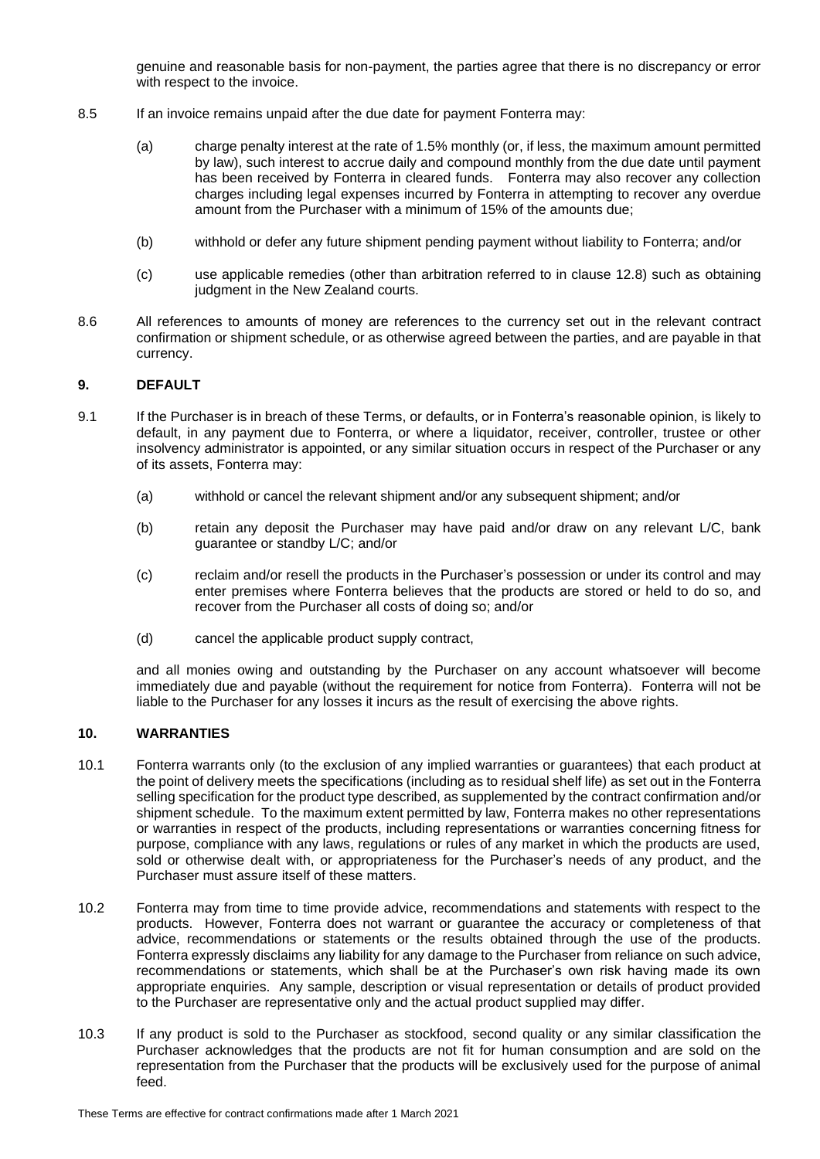genuine and reasonable basis for non-payment, the parties agree that there is no discrepancy or error with respect to the invoice.

- 8.5 If an invoice remains unpaid after the due date for payment Fonterra may:
	- (a) charge penalty interest at the rate of 1.5% monthly (or, if less, the maximum amount permitted by law), such interest to accrue daily and compound monthly from the due date until payment has been received by Fonterra in cleared funds. Fonterra may also recover any collection charges including legal expenses incurred by Fonterra in attempting to recover any overdue amount from the Purchaser with a minimum of 15% of the amounts due;
	- (b) withhold or defer any future shipment pending payment without liability to Fonterra; and/or
	- (c) use applicable remedies (other than arbitration referred to in clause 12.8) such as obtaining judgment in the New Zealand courts.
- 8.6 All references to amounts of money are references to the currency set out in the relevant contract confirmation or shipment schedule, or as otherwise agreed between the parties, and are payable in that currency.

# **9. DEFAULT**

- 9.1 If the Purchaser is in breach of these Terms, or defaults, or in Fonterra's reasonable opinion, is likely to default, in any payment due to Fonterra, or where a liquidator, receiver, controller, trustee or other insolvency administrator is appointed, or any similar situation occurs in respect of the Purchaser or any of its assets, Fonterra may:
	- (a) withhold or cancel the relevant shipment and/or any subsequent shipment; and/or
	- (b) retain any deposit the Purchaser may have paid and/or draw on any relevant L/C, bank guarantee or standby L/C; and/or
	- (c) reclaim and/or resell the products in the Purchaser's possession or under its control and may enter premises where Fonterra believes that the products are stored or held to do so, and recover from the Purchaser all costs of doing so; and/or
	- (d) cancel the applicable product supply contract,

and all monies owing and outstanding by the Purchaser on any account whatsoever will become immediately due and payable (without the requirement for notice from Fonterra). Fonterra will not be liable to the Purchaser for any losses it incurs as the result of exercising the above rights.

# **10. WARRANTIES**

- 10.1 Fonterra warrants only (to the exclusion of any implied warranties or guarantees) that each product at the point of delivery meets the specifications (including as to residual shelf life) as set out in the Fonterra selling specification for the product type described, as supplemented by the contract confirmation and/or shipment schedule. To the maximum extent permitted by law, Fonterra makes no other representations or warranties in respect of the products, including representations or warranties concerning fitness for purpose, compliance with any laws, regulations or rules of any market in which the products are used, sold or otherwise dealt with, or appropriateness for the Purchaser's needs of any product, and the Purchaser must assure itself of these matters.
- 10.2 Fonterra may from time to time provide advice, recommendations and statements with respect to the products. However, Fonterra does not warrant or guarantee the accuracy or completeness of that advice, recommendations or statements or the results obtained through the use of the products. Fonterra expressly disclaims any liability for any damage to the Purchaser from reliance on such advice, recommendations or statements, which shall be at the Purchaser's own risk having made its own appropriate enquiries. Any sample, description or visual representation or details of product provided to the Purchaser are representative only and the actual product supplied may differ.
- 10.3 If any product is sold to the Purchaser as stockfood, second quality or any similar classification the Purchaser acknowledges that the products are not fit for human consumption and are sold on the representation from the Purchaser that the products will be exclusively used for the purpose of animal feed.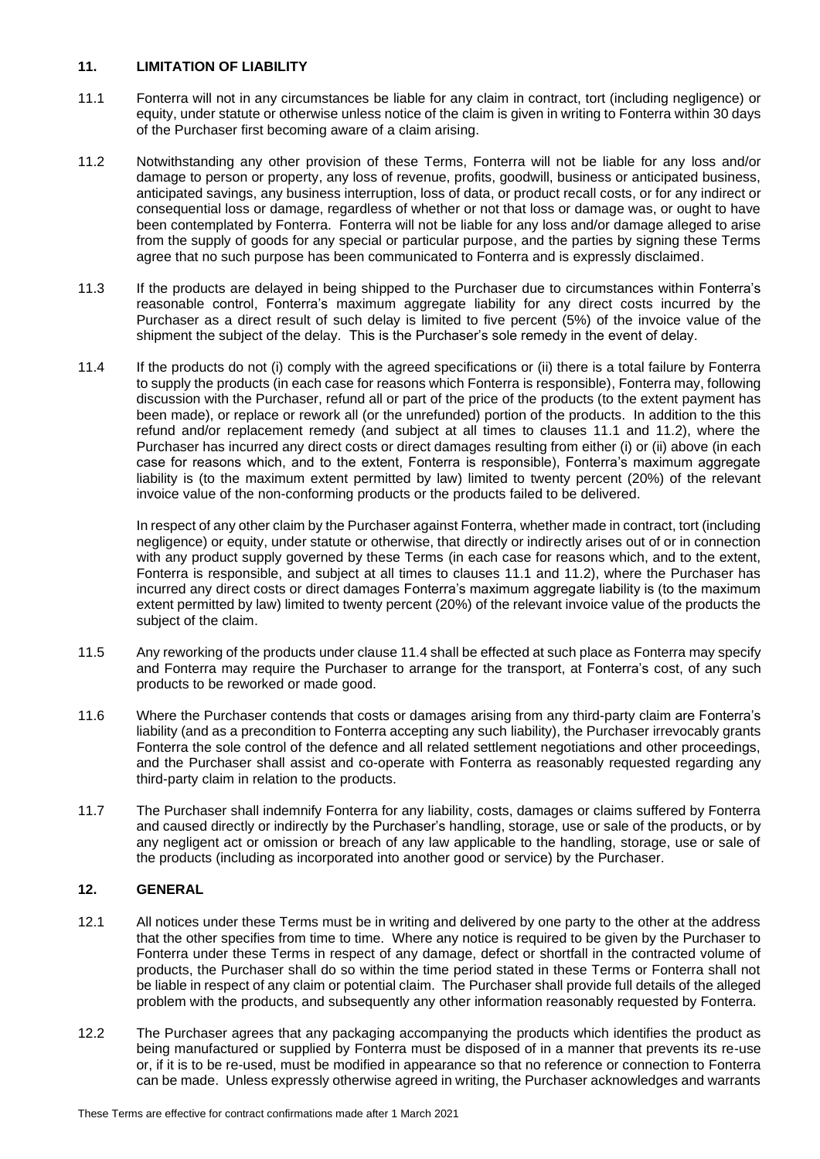#### **11. LIMITATION OF LIABILITY**

- 11.1 Fonterra will not in any circumstances be liable for any claim in contract, tort (including negligence) or equity, under statute or otherwise unless notice of the claim is given in writing to Fonterra within 30 days of the Purchaser first becoming aware of a claim arising.
- 11.2 Notwithstanding any other provision of these Terms, Fonterra will not be liable for any loss and/or damage to person or property, any loss of revenue, profits, goodwill, business or anticipated business, anticipated savings, any business interruption, loss of data, or product recall costs, or for any indirect or consequential loss or damage, regardless of whether or not that loss or damage was, or ought to have been contemplated by Fonterra. Fonterra will not be liable for any loss and/or damage alleged to arise from the supply of goods for any special or particular purpose, and the parties by signing these Terms agree that no such purpose has been communicated to Fonterra and is expressly disclaimed.
- 11.3 If the products are delayed in being shipped to the Purchaser due to circumstances within Fonterra's reasonable control, Fonterra's maximum aggregate liability for any direct costs incurred by the Purchaser as a direct result of such delay is limited to five percent (5%) of the invoice value of the shipment the subject of the delay. This is the Purchaser's sole remedy in the event of delay.
- 11.4 If the products do not (i) comply with the agreed specifications or (ii) there is a total failure by Fonterra to supply the products (in each case for reasons which Fonterra is responsible), Fonterra may, following discussion with the Purchaser, refund all or part of the price of the products (to the extent payment has been made), or replace or rework all (or the unrefunded) portion of the products. In addition to the this refund and/or replacement remedy (and subject at all times to clauses 11.1 and 11.2), where the Purchaser has incurred any direct costs or direct damages resulting from either (i) or (ii) above (in each case for reasons which, and to the extent, Fonterra is responsible), Fonterra's maximum aggregate liability is (to the maximum extent permitted by law) limited to twenty percent (20%) of the relevant invoice value of the non-conforming products or the products failed to be delivered.

<span id="page-4-0"></span>In respect of any other claim by the Purchaser against Fonterra, whether made in contract, tort (including negligence) or equity, under statute or otherwise, that directly or indirectly arises out of or in connection with any product supply governed by these Terms (in each case for reasons which, and to the extent, Fonterra is responsible, and subject at all times to clauses 11.1 and 11.2), where the Purchaser has incurred any direct costs or direct damages Fonterra's maximum aggregate liability is (to the maximum extent permitted by law) limited to twenty percent (20%) of the relevant invoice value of the products the subject of the claim.

- 11.5 Any reworking of the products under clause [11.4](#page-4-0) shall be effected at such place as Fonterra may specify and Fonterra may require the Purchaser to arrange for the transport, at Fonterra's cost, of any such products to be reworked or made good.
- 11.6 Where the Purchaser contends that costs or damages arising from any third-party claim are Fonterra's liability (and as a precondition to Fonterra accepting any such liability), the Purchaser irrevocably grants Fonterra the sole control of the defence and all related settlement negotiations and other proceedings, and the Purchaser shall assist and co-operate with Fonterra as reasonably requested regarding any third-party claim in relation to the products.
- 11.7 The Purchaser shall indemnify Fonterra for any liability, costs, damages or claims suffered by Fonterra and caused directly or indirectly by the Purchaser's handling, storage, use or sale of the products, or by any negligent act or omission or breach of any law applicable to the handling, storage, use or sale of the products (including as incorporated into another good or service) by the Purchaser.

# **12. GENERAL**

- 12.1 All notices under these Terms must be in writing and delivered by one party to the other at the address that the other specifies from time to time. Where any notice is required to be given by the Purchaser to Fonterra under these Terms in respect of any damage, defect or shortfall in the contracted volume of products, the Purchaser shall do so within the time period stated in these Terms or Fonterra shall not be liable in respect of any claim or potential claim. The Purchaser shall provide full details of the alleged problem with the products, and subsequently any other information reasonably requested by Fonterra.
- 12.2 The Purchaser agrees that any packaging accompanying the products which identifies the product as being manufactured or supplied by Fonterra must be disposed of in a manner that prevents its re-use or, if it is to be re-used, must be modified in appearance so that no reference or connection to Fonterra can be made. Unless expressly otherwise agreed in writing, the Purchaser acknowledges and warrants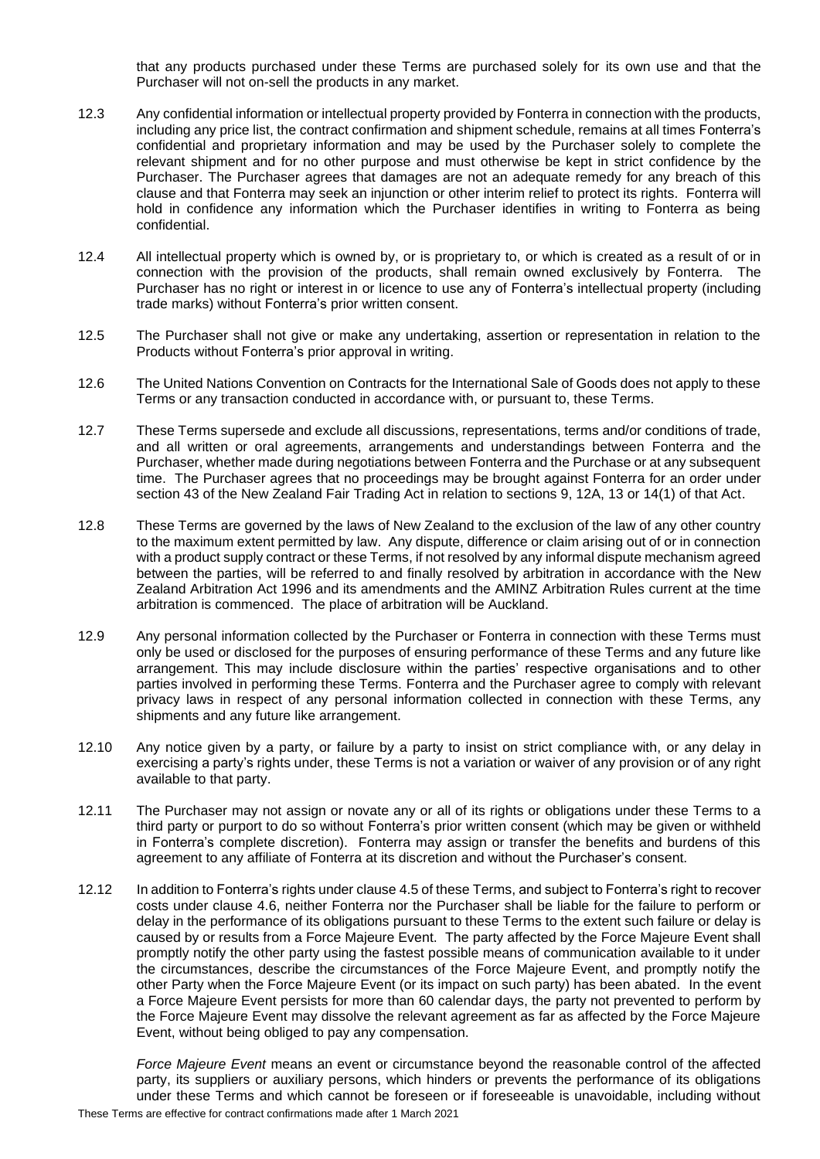that any products purchased under these Terms are purchased solely for its own use and that the Purchaser will not on-sell the products in any market.

- 12.3 Any confidential information or intellectual property provided by Fonterra in connection with the products, including any price list, the contract confirmation and shipment schedule, remains at all times Fonterra's confidential and proprietary information and may be used by the Purchaser solely to complete the relevant shipment and for no other purpose and must otherwise be kept in strict confidence by the Purchaser. The Purchaser agrees that damages are not an adequate remedy for any breach of this clause and that Fonterra may seek an injunction or other interim relief to protect its rights. Fonterra will hold in confidence any information which the Purchaser identifies in writing to Fonterra as being confidential.
- 12.4 All intellectual property which is owned by, or is proprietary to, or which is created as a result of or in connection with the provision of the products, shall remain owned exclusively by Fonterra. The Purchaser has no right or interest in or licence to use any of Fonterra's intellectual property (including trade marks) without Fonterra's prior written consent.
- 12.5 The Purchaser shall not give or make any undertaking, assertion or representation in relation to the Products without Fonterra's prior approval in writing.
- 12.6 The United Nations Convention on Contracts for the International Sale of Goods does not apply to these Terms or any transaction conducted in accordance with, or pursuant to, these Terms.
- 12.7 These Terms supersede and exclude all discussions, representations, terms and/or conditions of trade, and all written or oral agreements, arrangements and understandings between Fonterra and the Purchaser, whether made during negotiations between Fonterra and the Purchase or at any subsequent time. The Purchaser agrees that no proceedings may be brought against Fonterra for an order under section 43 of the New Zealand Fair Trading Act in relation to sections 9, 12A, 13 or 14(1) of that Act.
- 12.8 These Terms are governed by the laws of New Zealand to the exclusion of the law of any other country to the maximum extent permitted by law. Any dispute, difference or claim arising out of or in connection with a product supply contract or these Terms, if not resolved by any informal dispute mechanism agreed between the parties, will be referred to and finally resolved by arbitration in accordance with the New Zealand Arbitration Act 1996 and its amendments and the AMINZ Arbitration Rules current at the time arbitration is commenced. The place of arbitration will be Auckland.
- 12.9 Any personal information collected by the Purchaser or Fonterra in connection with these Terms must only be used or disclosed for the purposes of ensuring performance of these Terms and any future like arrangement. This may include disclosure within the parties' respective organisations and to other parties involved in performing these Terms. Fonterra and the Purchaser agree to comply with relevant privacy laws in respect of any personal information collected in connection with these Terms, any shipments and any future like arrangement.
- 12.10 Any notice given by a party, or failure by a party to insist on strict compliance with, or any delay in exercising a party's rights under, these Terms is not a variation or waiver of any provision or of any right available to that party.
- 12.11 The Purchaser may not assign or novate any or all of its rights or obligations under these Terms to a third party or purport to do so without Fonterra's prior written consent (which may be given or withheld in Fonterra's complete discretion). Fonterra may assign or transfer the benefits and burdens of this agreement to any affiliate of Fonterra at its discretion and without the Purchaser's consent.
- 12.12 In addition to Fonterra's rights under clause 4.5 of these Terms, and subject to Fonterra's right to recover costs under clause 4.6, neither Fonterra nor the Purchaser shall be liable for the failure to perform or delay in the performance of its obligations pursuant to these Terms to the extent such failure or delay is caused by or results from a Force Majeure Event. The party affected by the Force Majeure Event shall promptly notify the other party using the fastest possible means of communication available to it under the circumstances, describe the circumstances of the Force Majeure Event, and promptly notify the other Party when the Force Majeure Event (or its impact on such party) has been abated. In the event a Force Majeure Event persists for more than 60 calendar days, the party not prevented to perform by the Force Majeure Event may dissolve the relevant agreement as far as affected by the Force Majeure Event, without being obliged to pay any compensation.

*Force Majeure Event* means an event or circumstance beyond the reasonable control of the affected party, its suppliers or auxiliary persons, which hinders or prevents the performance of its obligations under these Terms and which cannot be foreseen or if foreseeable is unavoidable, including without